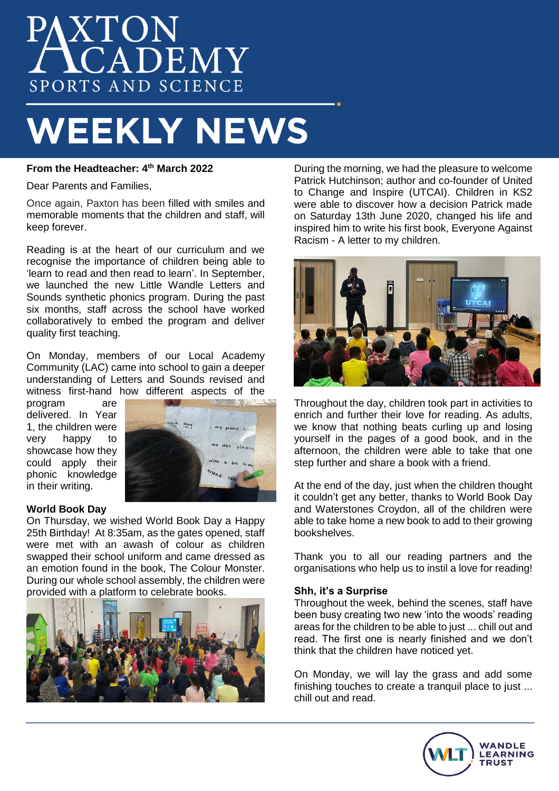# AXTON<br>ACADEMY SPORTS AND SCIENCE

## **WEEKLY NEWS**

## **From the Headteacher: 4 th March 2022**

Dear Parents and Families,

Once again, Paxton has been filled with smiles and memorable moments that the children and staff, will keep forever.

Reading is at the heart of our curriculum and we recognise the importance of children being able to 'learn to read and then read to learn'. In September, we launched the new Little Wandle Letters and Sounds synthetic phonics program. During the past six months, staff across the school have worked collaboratively to embed the program and deliver quality first teaching.

On Monday, members of our Local Academy Community (LAC) came into school to gain a deeper understanding of Letters and Sounds revised and witness first-hand how different aspects of the

program are delivered. In Year 1, the children were very happy to showcase how they could apply their phonic knowledge in their writing.



## **World Book Day**

On Thursday, we wished World Book Day a Happy 25th Birthday! At 8:35am, as the gates opened, staff were met with an awash of colour as children swapped their school uniform and came dressed as an emotion found in the book, The Colour Monster. During our whole school assembly, the children were provided with a platform to celebrate books.



During the morning, we had the pleasure to welcome Patrick Hutchinson; author and co-founder of United to Change and Inspire (UTCAI). Children in KS2 were able to discover how a decision Patrick made on Saturday 13th June 2020, changed his life and inspired him to write his first book, Everyone Against Racism - A letter to my children.



Throughout the day, children took part in activities to enrich and further their love for reading. As adults, we know that nothing beats curling up and losing yourself in the pages of a good book, and in the afternoon, the children were able to take that one step further and share a book with a friend.

At the end of the day, just when the children thought it couldn't get any better, thanks to World Book Day and Waterstones Croydon, all of the children were able to take home a new book to add to their growing bookshelves.

Thank you to all our reading partners and the organisations who help us to instil a love for reading!

#### **Shh, it's a Surprise**

Throughout the week, behind the scenes, staff have been busy creating two new 'into the woods' reading areas for the children to be able to just ... chill out and read. The first one is nearly finished and we don't think that the children have noticed yet.

On Monday, we will lay the grass and add some finishing touches to create a tranquil place to just ... chill out and read.